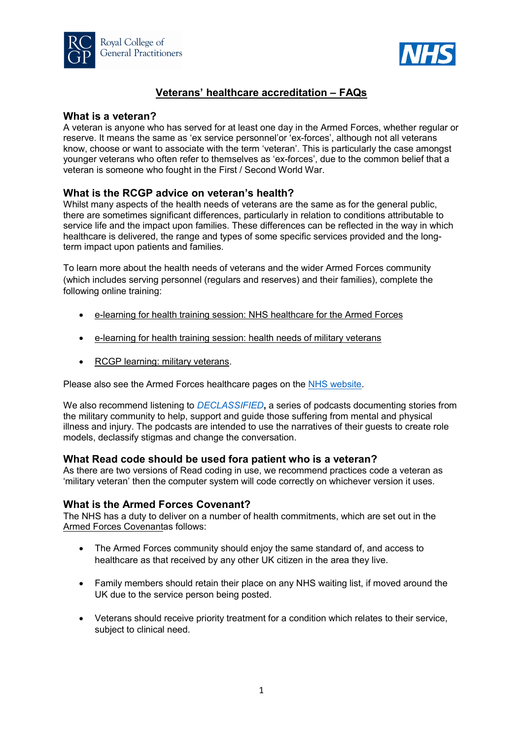



# Veterans' healthcare accreditation – FAQs

# What is a veteran?

A veteran is anyone who has served for at least one day in the Armed Forces, whether regular or reserve. It means the same as 'ex service personnel'or 'ex-forces', although not all veterans know, choose or want to associate with the term 'veteran'. This is particularly the case amongst younger veterans who often refer to themselves as 'ex-forces', due to the common belief that a veteran is someone who fought in the First / Second World War.

# What is the RCGP advice on veteran's health?

Whilst many aspects of the health needs of veterans are the same as for the general public, there are sometimes significant differences, particularly in relation to conditions attributable to service life and the impact upon families. These differences can be reflected in the way in which healthcare is delivered, the range and types of some specific services provided and the longterm impact upon patients and families.

To learn more about the health needs of veterans and the wider Armed Forces community (which includes serving personnel (regulars and reserves) and their families), complete the following online training:

- e-learning for health training session: NHS healthcare for the Armed Forces
- e-learning for health training session: health needs of military veterans
- RCGP learning: military veterans.

Please also see the Armed Forces healthcare pages on the NHS website.

We also recommend listening to *DECLASSIFIED*, a series of podcasts documenting stories from the military community to help, support and guide those suffering from mental and physical illness and injury. The podcasts are intended to use the narratives of their guests to create role models, declassify stigmas and change the conversation.

# What Read code should be used fora patient who is a veteran?

As there are two versions of Read coding in use, we recommend practices code a veteran as 'military veteran' then the computer system will code correctly on whichever version it uses.

# What is the Armed Forces Covenant?

The NHS has a duty to deliver on a number of health commitments, which are set out in the Armed Forces Covenantas follows:

- The Armed Forces community should enjoy the same standard of, and access to healthcare as that received by any other UK citizen in the area they live.
- Family members should retain their place on any NHS waiting list, if moved around the UK due to the service person being posted.
- Veterans should receive priority treatment for a condition which relates to their service, subject to clinical need.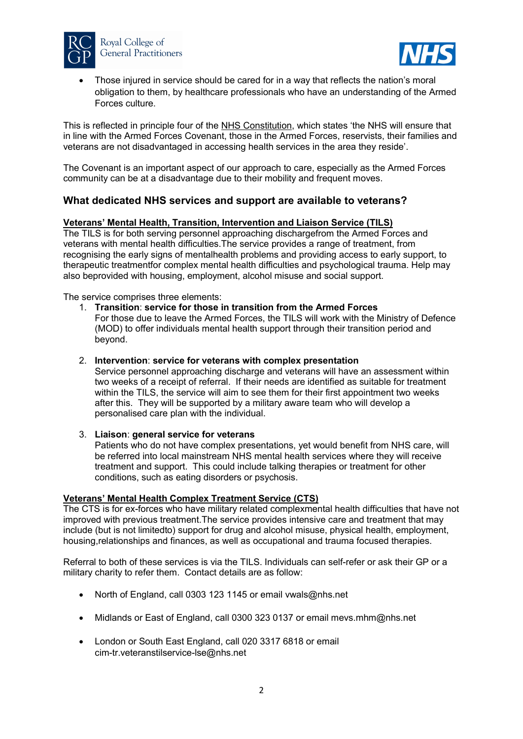



 Those injured in service should be cared for in a way that reflects the nation's moral obligation to them, by healthcare professionals who have an understanding of the Armed Forces culture.

This is reflected in principle four of the NHS Constitution, which states 'the NHS will ensure that in line with the Armed Forces Covenant, those in the Armed Forces, reservists, their families and veterans are not disadvantaged in accessing health services in the area they reside'.

The Covenant is an important aspect of our approach to care, especially as the Armed Forces community can be at a disadvantage due to their mobility and frequent moves.

# What dedicated NHS services and support are available to veterans?

### Veterans' Mental Health, Transition, Intervention and Liaison Service (TILS)

The TILS is for both serving personnel approaching dischargefrom the Armed Forces and veterans with mental health difficulties.The service provides a range of treatment, from recognising the early signs of mentalhealth problems and providing access to early support, to therapeutic treatmentfor complex mental health difficulties and psychological trauma. Help may also beprovided with housing, employment, alcohol misuse and social support.

The service comprises three elements:

#### 1. Transition: service for those in transition from the Armed Forces

For those due to leave the Armed Forces, the TILS will work with the Ministry of Defence (MOD) to offer individuals mental health support through their transition period and beyond.

### 2. Intervention: service for veterans with complex presentation

Service personnel approaching discharge and veterans will have an assessment within two weeks of a receipt of referral. If their needs are identified as suitable for treatment within the TILS, the service will aim to see them for their first appointment two weeks after this. They will be supported by a military aware team who will develop a personalised care plan with the individual.

#### 3. Liaison: general service for veterans

Patients who do not have complex presentations, yet would benefit from NHS care, will be referred into local mainstream NHS mental health services where they will receive treatment and support. This could include talking therapies or treatment for other conditions, such as eating disorders or psychosis.

## Veterans' Mental Health Complex Treatment Service (CTS)

The CTS is for ex-forces who have military related complexmental health difficulties that have not improved with previous treatment.The service provides intensive care and treatment that may include (but is not limitedto) support for drug and alcohol misuse, physical health, employment, housing,relationships and finances, as well as occupational and trauma focused therapies.

Referral to both of these services is via the TILS. Individuals can self-refer or ask their GP or a military charity to refer them. Contact details are as follow:

- North of England, call 0303 123 1145 or email vwals@nhs.net
- Midlands or East of England, call 0300 323 0137 or email mevs.mhm@nhs.net
- London or South East England, call 020 3317 6818 or email cim-tr.veteranstilservice-lse@nhs.net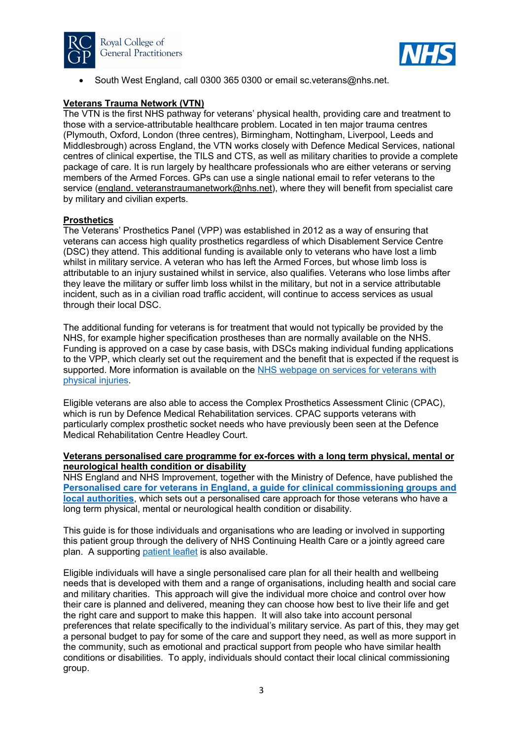



South West England, call 0300 365 0300 or email sc.veterans@nhs.net.

## Veterans Trauma Network (VTN)

The VTN is the first NHS pathway for veterans' physical health, providing care and treatment to those with a service-attributable healthcare problem. Located in ten major trauma centres (Plymouth, Oxford, London (three centres), Birmingham, Nottingham, Liverpool, Leeds and Middlesbrough) across England, the VTN works closely with Defence Medical Services, national centres of clinical expertise, the TILS and CTS, as well as military charities to provide a complete package of care. It is run largely by healthcare professionals who are either veterans or serving members of the Armed Forces. GPs can use a single national email to refer veterans to the service (england. veteranstraumanetwork@nhs.net), where they will benefit from specialist care by military and civilian experts.

## **Prosthetics**

The Veterans' Prosthetics Panel (VPP) was established in 2012 as a way of ensuring that veterans can access high quality prosthetics regardless of which Disablement Service Centre (DSC) they attend. This additional funding is available only to veterans who have lost a limb whilst in military service. A veteran who has left the Armed Forces, but whose limb loss is attributable to an injury sustained whilst in service, also qualifies. Veterans who lose limbs after they leave the military or suffer limb loss whilst in the military, but not in a service attributable incident, such as in a civilian road traffic accident, will continue to access services as usual through their local DSC.

The additional funding for veterans is for treatment that would not typically be provided by the NHS, for example higher specification prostheses than are normally available on the NHS. Funding is approved on a case by case basis, with DSCs making individual funding applications to the VPP, which clearly set out the requirement and the benefit that is expected if the request is supported. More information is available on the NHS webpage on services for veterans with physical injuries.

Eligible veterans are also able to access the Complex Prosthetics Assessment Clinic (CPAC), which is run by Defence Medical Rehabilitation services. CPAC supports veterans with particularly complex prosthetic socket needs who have previously been seen at the Defence Medical Rehabilitation Centre Headley Court.

### Veterans personalised care programme for ex-forces with a long term physical, mental or neurological health condition or disability

NHS England and NHS Improvement, together with the Ministry of Defence, have published the Personalised care for veterans in England, a guide for clinical commissioning groups and local authorities, which sets out a personalised care approach for those veterans who have a long term physical, mental or neurological health condition or disability.

This guide is for those individuals and organisations who are leading or involved in supporting this patient group through the delivery of NHS Continuing Health Care or a jointly agreed care plan. A supporting patient leaflet is also available.

Eligible individuals will have a single personalised care plan for all their health and wellbeing needs that is developed with them and a range of organisations, including health and social care and military charities. This approach will give the individual more choice and control over how their care is planned and delivered, meaning they can choose how best to live their life and get the right care and support to make this happen. It will also take into account personal preferences that relate specifically to the individual's military service. As part of this, they may get a personal budget to pay for some of the care and support they need, as well as more support in the community, such as emotional and practical support from people who have similar health conditions or disabilities. To apply, individuals should contact their local clinical commissioning group.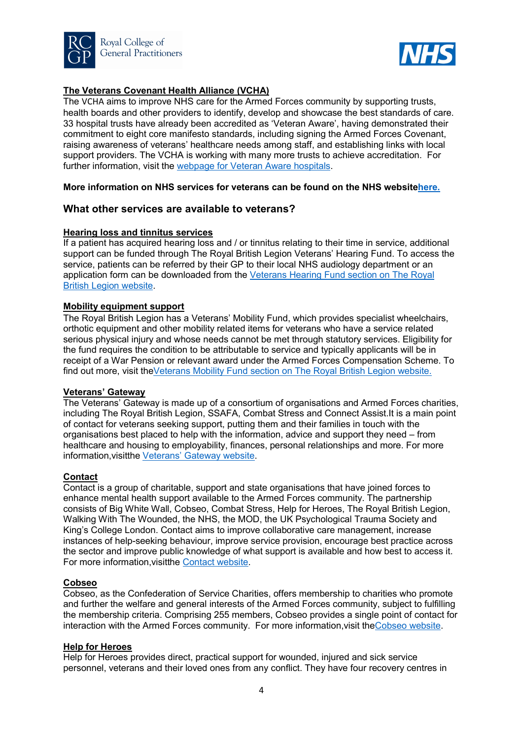



# The Veterans Covenant Health Alliance (VCHA)

The VCHA aims to improve NHS care for the Armed Forces community by supporting trusts, health boards and other providers to identify, develop and showcase the best standards of care. 33 hospital trusts have already been accredited as 'Veteran Aware', having demonstrated their commitment to eight core manifesto standards, including signing the Armed Forces Covenant, raising awareness of veterans' healthcare needs among staff, and establishing links with local support providers. The VCHA is working with many more trusts to achieve accreditation. For further information, visit the webpage for Veteran Aware hospitals.

### More information on NHS services for veterans can be found on the NHS websitehere.

## What other services are available to veterans?

#### Hearing loss and tinnitus services

If a patient has acquired hearing loss and / or tinnitus relating to their time in service, additional support can be funded through The Royal British Legion Veterans' Hearing Fund. To access the service, patients can be referred by their GP to their local NHS audiology department or an application form can be downloaded from the Veterans Hearing Fund section on The Royal British Legion website.

#### Mobility equipment support

The Royal British Legion has a Veterans' Mobility Fund, which provides specialist wheelchairs, orthotic equipment and other mobility related items for veterans who have a service related serious physical injury and whose needs cannot be met through statutory services. Eligibility for the fund requires the condition to be attributable to service and typically applicants will be in receipt of a War Pension or relevant award under the Armed Forces Compensation Scheme. To find out more, visit the Veterans Mobility Fund section on The Royal British Legion website.

### Veterans' Gateway

The Veterans' Gateway is made up of a consortium of organisations and Armed Forces charities, including The Royal British Legion, SSAFA, Combat Stress and Connect Assist.It is a main point of contact for veterans seeking support, putting them and their families in touch with the organisations best placed to help with the information, advice and support they need – from healthcare and housing to employability, finances, personal relationships and more. For more information,visitthe Veterans' Gateway website.

### Contact

Contact is a group of charitable, support and state organisations that have joined forces to enhance mental health support available to the Armed Forces community. The partnership consists of Big White Wall, Cobseo, Combat Stress, Help for Heroes, The Royal British Legion, Walking With The Wounded, the NHS, the MOD, the UK Psychological Trauma Society and King's College London. Contact aims to improve collaborative care management, increase instances of help-seeking behaviour, improve service provision, encourage best practice across the sector and improve public knowledge of what support is available and how best to access it. For more information,visitthe Contact website.

#### Cobseo

Cobseo, as the Confederation of Service Charities, offers membership to charities who promote and further the welfare and general interests of the Armed Forces community, subject to fulfilling the membership criteria. Comprising 255 members, Cobseo provides a single point of contact for interaction with the Armed Forces community. For more information,visit theCobseo website.

#### Help for Heroes

Help for Heroes provides direct, practical support for wounded, injured and sick service personnel, veterans and their loved ones from any conflict. They have four recovery centres in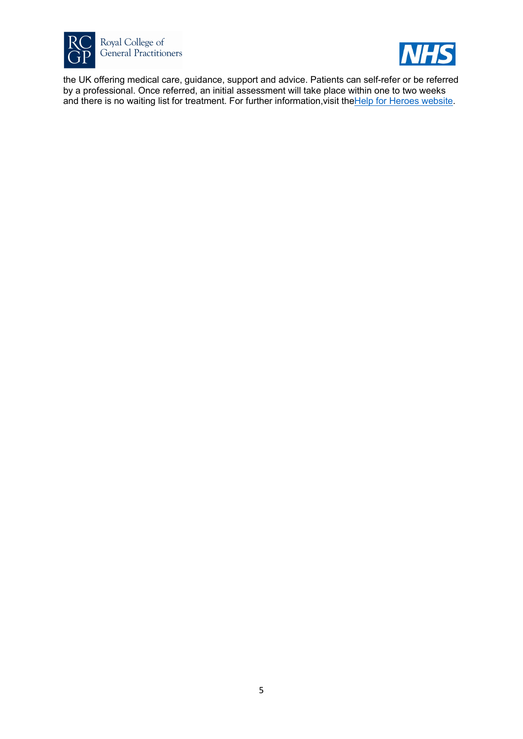



the UK offering medical care, guidance, support and advice. Patients can self-refer or be referred by a professional. Once referred, an initial assessment will take place within one to two weeks and there is no waiting list for treatment. For further information, visit the Help for Heroes website.